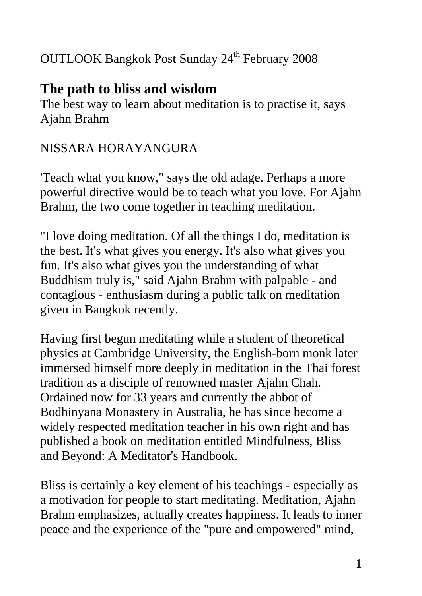### OUTLOOK Bangkok Post Sunday 24<sup>th</sup> February 2008

# **The path to bliss and wisdom**

The best way to learn about meditation is to practise it, says Ajahn Brahm

### NISSARA HORAYANGURA

'Teach what you know," says the old adage. Perhaps a more powerful directive would be to teach what you love. For Ajahn Brahm, the two come together in teaching meditation.

"I love doing meditation. Of all the things I do, meditation is the best. It's what gives you energy. It's also what gives you fun. It's also what gives you the understanding of what Buddhism truly is," said Ajahn Brahm with palpable - and contagious - enthusiasm during a public talk on meditation given in Bangkok recently.

Having first begun meditating while a student of theoretical physics at Cambridge University, the English-born monk later immersed himself more deeply in meditation in the Thai forest tradition as a disciple of renowned master Ajahn Chah. Ordained now for 33 years and currently the abbot of Bodhinyana Monastery in Australia, he has since become a widely respected meditation teacher in his own right and has published a book on meditation entitled Mindfulness, Bliss and Beyond: A Meditator's Handbook.

Bliss is certainly a key element of his teachings - especially as a motivation for people to start meditating. Meditation, Ajahn Brahm emphasizes, actually creates happiness. It leads to inner peace and the experience of the "pure and empowered" mind,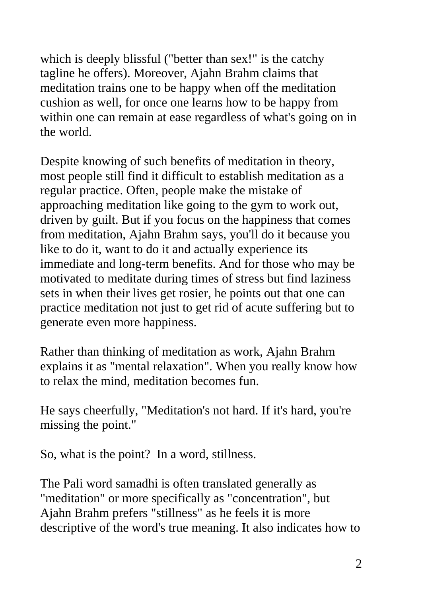which is deeply blissful ("better than sex!" is the catchy tagline he offers). Moreover, Ajahn Brahm claims that meditation trains one to be happy when off the meditation cushion as well, for once one learns how to be happy from within one can remain at ease regardless of what's going on in the world.

Despite knowing of such benefits of meditation in theory, most people still find it difficult to establish meditation as a regular practice. Often, people make the mistake of approaching meditation like going to the gym to work out, driven by guilt. But if you focus on the happiness that comes from meditation, Ajahn Brahm says, you'll do it because you like to do it, want to do it and actually experience its immediate and long-term benefits. And for those who may be motivated to meditate during times of stress but find laziness sets in when their lives get rosier, he points out that one can practice meditation not just to get rid of acute suffering but to generate even more happiness.

Rather than thinking of meditation as work, Ajahn Brahm explains it as "mental relaxation". When you really know how to relax the mind, meditation becomes fun.

He says cheerfully, "Meditation's not hard. If it's hard, you're missing the point."

So, what is the point? In a word, stillness.

The Pali word samadhi is often translated generally as "meditation" or more specifically as "concentration", but Ajahn Brahm prefers "stillness" as he feels it is more descriptive of the word's true meaning. It also indicates how to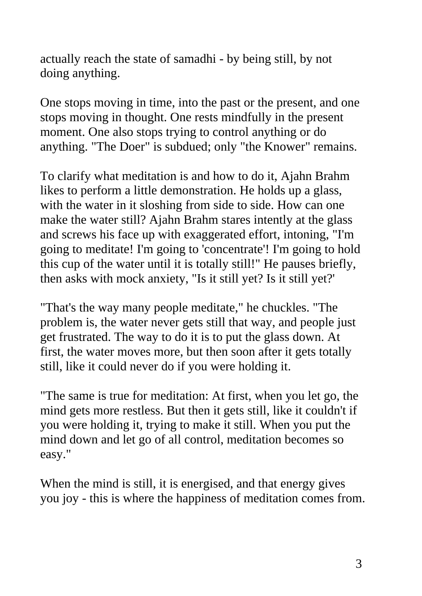actually reach the state of samadhi - by being still, by not doing anything.

One stops moving in time, into the past or the present, and one stops moving in thought. One rests mindfully in the present moment. One also stops trying to control anything or do anything. "The Doer" is subdued; only "the Knower" remains.

To clarify what meditation is and how to do it, Ajahn Brahm likes to perform a little demonstration. He holds up a glass, with the water in it sloshing from side to side. How can one make the water still? Ajahn Brahm stares intently at the glass and screws his face up with exaggerated effort, intoning, "I'm going to meditate! I'm going to 'concentrate'! I'm going to hold this cup of the water until it is totally still!" He pauses briefly, then asks with mock anxiety, "Is it still yet? Is it still yet?'

"That's the way many people meditate," he chuckles. "The problem is, the water never gets still that way, and people just get frustrated. The way to do it is to put the glass down. At first, the water moves more, but then soon after it gets totally still, like it could never do if you were holding it.

"The same is true for meditation: At first, when you let go, the mind gets more restless. But then it gets still, like it couldn't if you were holding it, trying to make it still. When you put the mind down and let go of all control, meditation becomes so easy."

When the mind is still, it is energised, and that energy gives you joy - this is where the happiness of meditation comes from.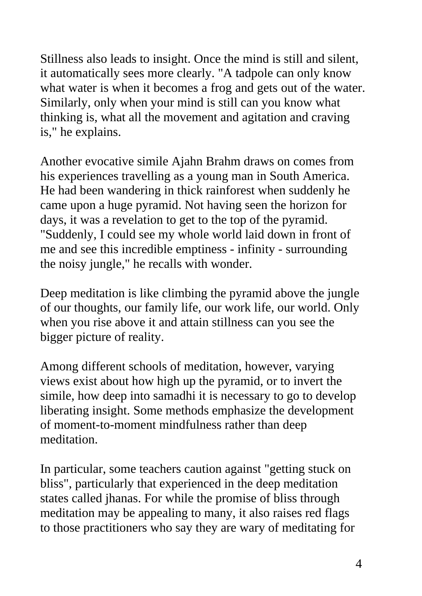Stillness also leads to insight. Once the mind is still and silent, it automatically sees more clearly. "A tadpole can only know what water is when it becomes a frog and gets out of the water. Similarly, only when your mind is still can you know what thinking is, what all the movement and agitation and craving is," he explains.

Another evocative simile Ajahn Brahm draws on comes from his experiences travelling as a young man in South America. He had been wandering in thick rainforest when suddenly he came upon a huge pyramid. Not having seen the horizon for days, it was a revelation to get to the top of the pyramid. "Suddenly, I could see my whole world laid down in front of me and see this incredible emptiness - infinity - surrounding the noisy jungle," he recalls with wonder.

Deep meditation is like climbing the pyramid above the jungle of our thoughts, our family life, our work life, our world. Only when you rise above it and attain stillness can you see the bigger picture of reality.

Among different schools of meditation, however, varying views exist about how high up the pyramid, or to invert the simile, how deep into samadhi it is necessary to go to develop liberating insight. Some methods emphasize the development of moment-to-moment mindfulness rather than deep meditation.

In particular, some teachers caution against "getting stuck on bliss", particularly that experienced in the deep meditation states called jhanas. For while the promise of bliss through meditation may be appealing to many, it also raises red flags to those practitioners who say they are wary of meditating for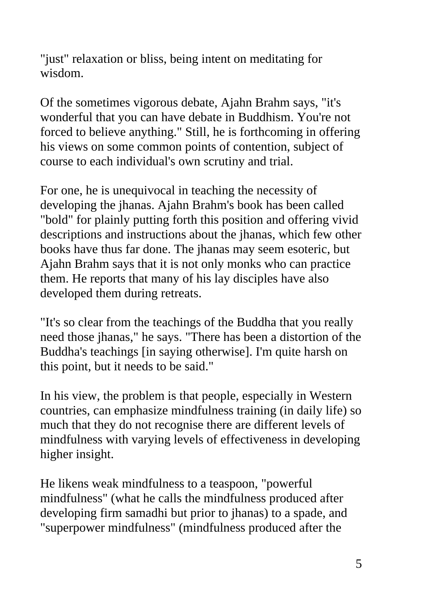"just" relaxation or bliss, being intent on meditating for wisdom.

Of the sometimes vigorous debate, Ajahn Brahm says, "it's wonderful that you can have debate in Buddhism. You're not forced to believe anything." Still, he is forthcoming in offering his views on some common points of contention, subject of course to each individual's own scrutiny and trial.

For one, he is unequivocal in teaching the necessity of developing the jhanas. Ajahn Brahm's book has been called "bold" for plainly putting forth this position and offering vivid descriptions and instructions about the jhanas, which few other books have thus far done. The jhanas may seem esoteric, but Ajahn Brahm says that it is not only monks who can practice them. He reports that many of his lay disciples have also developed them during retreats.

"It's so clear from the teachings of the Buddha that you really need those jhanas," he says. "There has been a distortion of the Buddha's teachings [in saying otherwise]. I'm quite harsh on this point, but it needs to be said."

In his view, the problem is that people, especially in Western countries, can emphasize mindfulness training (in daily life) so much that they do not recognise there are different levels of mindfulness with varying levels of effectiveness in developing higher insight.

He likens weak mindfulness to a teaspoon, "powerful mindfulness" (what he calls the mindfulness produced after developing firm samadhi but prior to jhanas) to a spade, and "superpower mindfulness" (mindfulness produced after the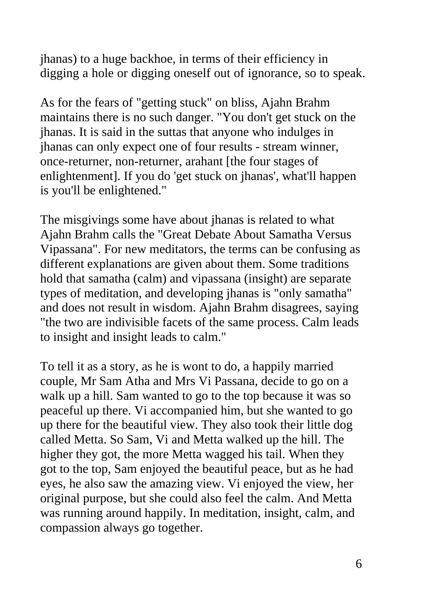jhanas) to a huge backhoe, in terms of their efficiency in digging a hole or digging oneself out of ignorance, so to speak.

As for the fears of "getting stuck" on bliss, Ajahn Brahm maintains there is no such danger. "You don't get stuck on the jhanas. It is said in the suttas that anyone who indulges in jhanas can only expect one of four results - stream winner, once-returner, non-returner, arahant [the four stages of enlightenment]. If you do 'get stuck on jhanas', what'll happen is you'll be enlightened."

The misgivings some have about jhanas is related to what Ajahn Brahm calls the "Great Debate About Samatha Versus Vipassana". For new meditators, the terms can be confusing as different explanations are given about them. Some traditions hold that samatha (calm) and vipassana (insight) are separate types of meditation, and developing jhanas is "only samatha" and does not result in wisdom. Ajahn Brahm disagrees, saying "the two are indivisible facets of the same process. Calm leads to insight and insight leads to calm."

To tell it as a story, as he is wont to do, a happily married couple, Mr Sam Atha and Mrs Vi Passana, decide to go on a walk up a hill. Sam wanted to go to the top because it was so peaceful up there. Vi accompanied him, but she wanted to go up there for the beautiful view. They also took their little dog called Metta. So Sam, Vi and Metta walked up the hill. The higher they got, the more Metta wagged his tail. When they got to the top, Sam enjoyed the beautiful peace, but as he had eyes, he also saw the amazing view. Vi enjoyed the view, her original purpose, but she could also feel the calm. And Metta was running around happily. In meditation, insight, calm, and compassion always go together.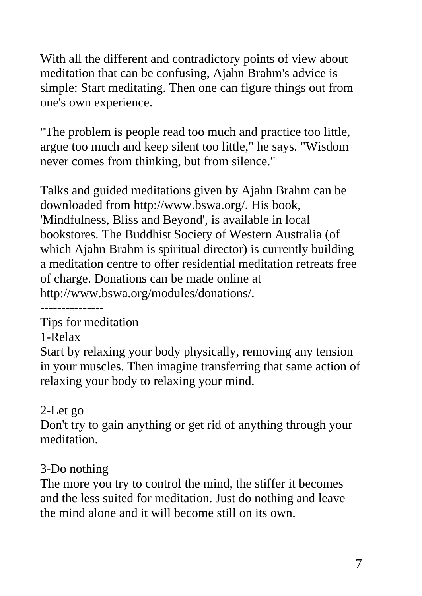With all the different and contradictory points of view about meditation that can be confusing, Ajahn Brahm's advice is simple: Start meditating. Then one can figure things out from one's own experience.

"The problem is people read too much and practice too little, argue too much and keep silent too little," he says. "Wisdom never comes from thinking, but from silence."

Talks and guided meditations given by Ajahn Brahm can be downloaded from http://www.bswa.org/. His book, 'Mindfulness, Bliss and Beyond', is available in local bookstores. The Buddhist Society of Western Australia (of which Ajahn Brahm is spiritual director) is currently building a meditation centre to offer residential meditation retreats free of charge. Donations can be made online at http://www.bswa.org/modules/donations/.

---------------

Tips for meditation

1-Relax

Start by relaxing your body physically, removing any tension in your muscles. Then imagine transferring that same action of relaxing your body to relaxing your mind.

#### 2-Let go

Don't try to gain anything or get rid of anything through your meditation.

# 3-Do nothing

The more you try to control the mind, the stiffer it becomes and the less suited for meditation. Just do nothing and leave the mind alone and it will become still on its own.